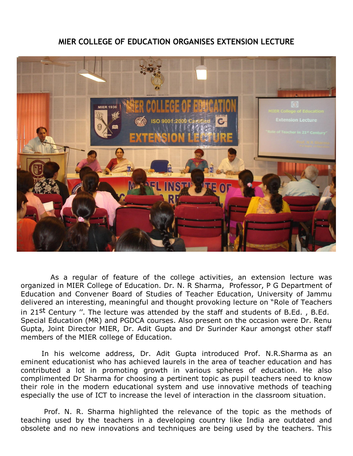## **MIER COLLEGE OF EDUCATION ORGANISES EXTENSION LECTURE**



 As a regular of feature of the college activities, an extension lecture was organized in MIER College of Education. Dr. N. R Sharma, Professor, P G Department of Education and Convener Board of Studies of Teacher Education, University of Jammu delivered an interesting, meaningful and thought provoking lecture on "Role of Teachers in 21st Century ". The lecture was attended by the staff and students of B.Ed., B.Ed. Special Education (MR) and PGDCA courses. Also present on the occasion were Dr. Renu Gupta, Joint Director MIER, Dr. Adit Gupta and Dr Surinder Kaur amongst other staff members of the MIER college of Education.

 In his welcome address, Dr. Adit Gupta introduced Prof. N.R.Sharma as an eminent educationist who has achieved laurels in the area of teacher education and has contributed a lot in promoting growth in various spheres of education. He also complimented Dr Sharma for choosing a pertinent topic as pupil teachers need to know their role in the modern educational system and use innovative methods of teaching especially the use of ICT to increase the level of interaction in the classroom situation.

 Prof. N. R. Sharma highlighted the relevance of the topic as the methods of teaching used by the teachers in a developing country like India are outdated and obsolete and no new innovations and techniques are being used by the teachers. This